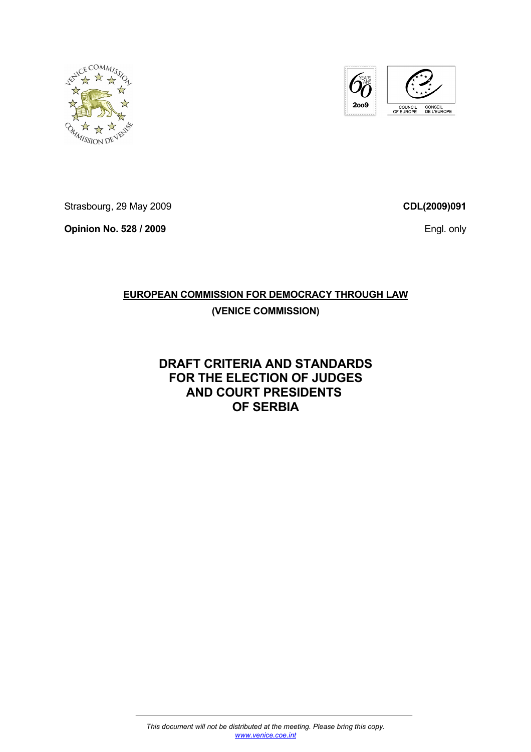



Strasbourg, 29 May 2009

**Opinion No. 528 / 2009** 

**CDL(2009)091**

Engl. only

# **EUROPEAN COMMISSION FOR DEMOCRACY THROUGH LAW**

## **(VENICE COMMISSION)**

# **DRAFT CRITERIA AND STANDARDS FOR THE ELECTION OF JUDGES AND COURT PRESIDENTS OF SERBIA**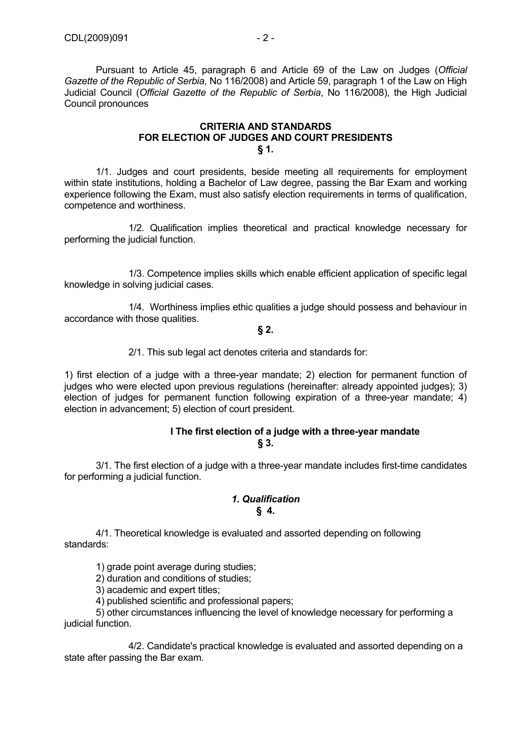Pursuant to Article 45, paragraph 6 and Article 69 of the Law on Judges (*Official Gazette of the Republic of Serbia*, No 116/2008) and Article 59, paragraph 1 of the Law on High Judicial Council (*Official Gazette of the Republic of Serbia*, No 116/2008), the High Judicial Council pronounces

#### **CRITERIA AND STANDARDS FOR ELECTION OF JUDGES AND COURT PRESIDENTS § 1.**

1/1. Judges and court presidents, beside meeting all requirements for employment within state institutions, holding a Bachelor of Law degree, passing the Bar Exam and working experience following the Exam, must also satisfy election requirements in terms of qualification, competence and worthiness.

 1/2. Qualification implies theoretical and practical knowledge necessary for performing the judicial function.

 1/3. Competence implies skills which enable efficient application of specific legal knowledge in solving judicial cases.

 1/4. Worthiness implies ethic qualities a judge should possess and behaviour in accordance with those qualities.

**§ 2.** 

2/1. This sub legal act denotes criteria and standards for:

1) first election of a judge with a three-year mandate; 2) election for permanent function of judges who were elected upon previous regulations (hereinafter: already appointed judges); 3) election of judges for permanent function following expiration of a three-year mandate; 4) election in advancement; 5) election of court president.

## **I The first election of a judge with a three-year mandate § 3.**

3/1. The first election of a judge with a three-year mandate includes first-time candidates for performing a judicial function.

#### *1. Qualification* **§ 4.**

 4/1. Theoretical knowledge is evaluated and assorted depending on following standards:

1) grade point average during studies;

2) duration and conditions of studies;

3) academic and expert titles;

4) published scientific and professional papers;

 5) other circumstances influencing the level of knowledge necessary for performing a judicial function.

 4/2. Candidate's practical knowledge is evaluated and assorted depending on a state after passing the Bar exam.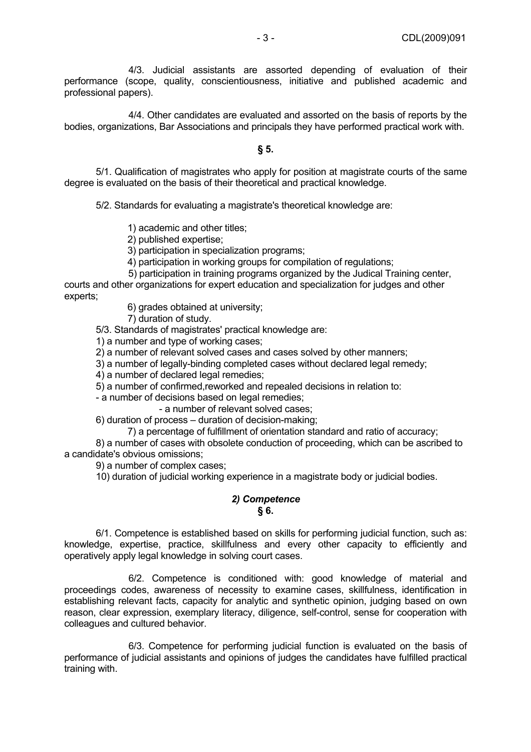4/3. Judicial assistants are assorted depending of evaluation of their performance (scope, quality, conscientiousness, initiative and published academic and professional papers).

 4/4. Other candidates are evaluated and assorted on the basis of reports by the bodies, organizations, Bar Associations and principals they have performed practical work with.

#### **§ 5.**

 5/1. Qualification of magistrates who apply for position at magistrate courts of the same degree is evaluated on the basis of their theoretical and practical knowledge.

5/2. Standards for evaluating a magistrate's theoretical knowledge are:

1) academic and other titles;

2) published expertise;

3) participation in specialization programs;

4) participation in working groups for compilation of regulations:

5) participation in training programs organized by the Judical Training center,

courts and other organizations for expert education and specialization for judges and other experts;

6) grades obtained at university;

7) duration of study.

5/3. Standards of magistrates' practical knowledge are:

1) a number and type of working cases;

2) a number of relevant solved cases and cases solved by other manners;

3) a number of legally-binding completed cases without declared legal remedy;

4) a number of declared legal remedies;

5) a number of confirmed,reworked and repealed decisions in relation to:

- a number of decisions based on legal remedies;

- a number of relevant solved cases;

6) duration of process – duration of decision-making;

7) a percentage of fulfillment of orientation standard and ratio of accuracy;

 8) a number of cases with obsolete conduction of proceeding, which can be ascribed to a candidate's obvious omissions;

9) a number of complex cases;

10) duration of judicial working experience in a magistrate body or judicial bodies.

#### *2) Competence* **§ 6.**

 6/1. Competence is established based on skills for performing judicial function, such as: knowledge, expertise, practice, skillfulness and every other capacity to efficiently and operatively apply legal knowledge in solving court cases.

 6/2. Competence is conditioned with: good knowledge of material and proceedings codes, awareness of necessity to examine cases, skillfulness, identification in establishing relevant facts, capacity for analytic and synthetic opinion, judging based on own reason, clear expression, exemplary literacy, diligence, self-control, sense for cooperation with colleagues and cultured behavior.

 6/3. Competence for performing judicial function is evaluated on the basis of performance of judicial assistants and opinions of judges the candidates have fulfilled practical training with.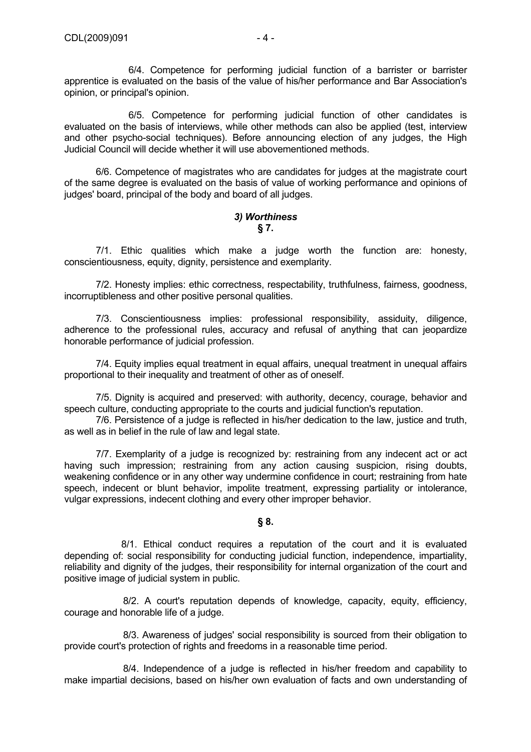6/4. Competence for performing judicial function of a barrister or barrister apprentice is evaluated on the basis of the value of his/her performance and Bar Association's opinion, or principal's opinion.

 6/5. Competence for performing judicial function of other candidates is evaluated on the basis of interviews, while other methods can also be applied (test, interview and other psycho-social techniques). Before announcing election of any judges, the High Judicial Council will decide whether it will use abovementioned methods.

 6/6. Competence of magistrates who are candidates for judges at the magistrate court of the same degree is evaluated on the basis of value of working performance and opinions of judges' board, principal of the body and board of all judges.

#### *3) Worthiness* **§ 7.**

 7/1. Ethic qualities which make a judge worth the function are: honesty, conscientiousness, equity, dignity, persistence and exemplarity.

 7/2. Honesty implies: ethic correctness, respectability, truthfulness, fairness, goodness, incorruptibleness and other positive personal qualities.

 7/3. Conscientiousness implies: professional responsibility, assiduity, diligence, adherence to the professional rules, accuracy and refusal of anything that can jeopardize honorable performance of judicial profession.

 7/4. Equity implies equal treatment in equal affairs, unequal treatment in unequal affairs proportional to their inequality and treatment of other as of oneself.

 7/5. Dignity is acquired and preserved: with authority, decency, courage, behavior and speech culture, conducting appropriate to the courts and judicial function's reputation.

 7/6. Persistence of a judge is reflected in his/her dedication to the law, justice and truth, as well as in belief in the rule of law and legal state.

 7/7. Exemplarity of a judge is recognized by: restraining from any indecent act or act having such impression; restraining from any action causing suspicion, rising doubts, weakening confidence or in any other way undermine confidence in court; restraining from hate speech, indecent or blunt behavior, impolite treatment, expressing partiality or intolerance, vulgar expressions, indecent clothing and every other improper behavior.

## **§ 8.**

 8/1. Ethical conduct requires a reputation of the court and it is evaluated depending of: social responsibility for conducting judicial function, independence, impartiality, reliability and dignity of the judges, their responsibility for internal organization of the court and positive image of judicial system in public.

 8/2. A court's reputation depends of knowledge, capacity, equity, efficiency, courage and honorable life of a judge.

 8/3. Awareness of judges' social responsibility is sourced from their obligation to provide court's protection of rights and freedoms in a reasonable time period.

 8/4. Independence of a judge is reflected in his/her freedom and capability to make impartial decisions, based on his/her own evaluation of facts and own understanding of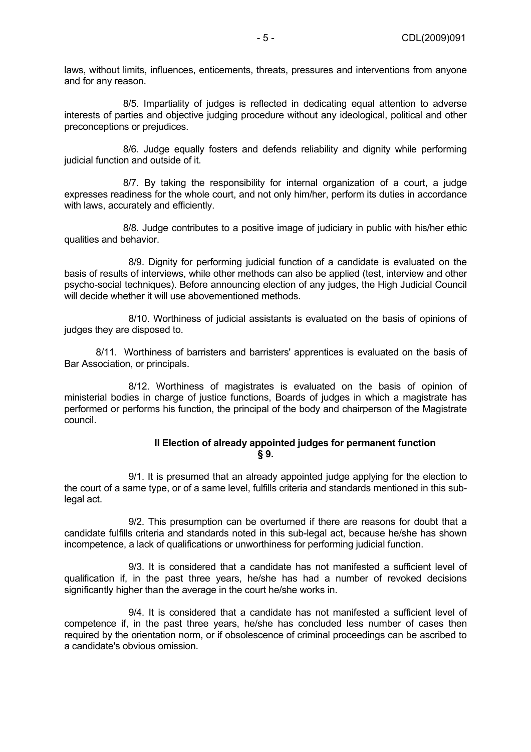laws, without limits, influences, enticements, threats, pressures and interventions from anyone and for any reason.

 8/5. Impartiality of judges is reflected in dedicating equal attention to adverse interests of parties and objective judging procedure without any ideological, political and other preconceptions or prejudices.

 8/6. Judge equally fosters and defends reliability and dignity while performing judicial function and outside of it.

 8/7. By taking the responsibility for internal organization of a court, a judge expresses readiness for the whole court, and not only him/her, perform its duties in accordance with laws, accurately and efficiently.

 8/8. Judge contributes to a positive image of judiciary in public with his/her ethic qualities and behavior.

 8/9. Dignity for performing judicial function of a candidate is evaluated on the basis of results of interviews, while other methods can also be applied (test, interview and other psycho-social techniques). Before announcing election of any judges, the High Judicial Council will decide whether it will use abovementioned methods.

 8/10. Worthiness of judicial assistants is evaluated on the basis of opinions of judges they are disposed to.

 8/11. Worthiness of barristers and barristers' apprentices is evaluated on the basis of Bar Association, or principals.

 8/12. Worthiness of magistrates is evaluated on the basis of opinion of ministerial bodies in charge of justice functions, Boards of judges in which a magistrate has performed or performs his function, the principal of the body and chairperson of the Magistrate council.

#### **II Election of already appointed judges for permanent function § 9.**

 9/1. It is presumed that an already appointed judge applying for the election to the court of a same type, or of a same level, fulfills criteria and standards mentioned in this sublegal act.

 9/2. This presumption can be overturned if there are reasons for doubt that a candidate fulfills criteria and standards noted in this sub-legal act, because he/she has shown incompetence, a lack of qualifications or unworthiness for performing judicial function.

 9/3. It is considered that a candidate has not manifested a sufficient level of qualification if, in the past three years, he/she has had a number of revoked decisions significantly higher than the average in the court he/she works in.

 9/4. It is considered that a candidate has not manifested a sufficient level of competence if, in the past three years, he/she has concluded less number of cases then required by the orientation norm, or if obsolescence of criminal proceedings can be ascribed to a candidate's obvious omission.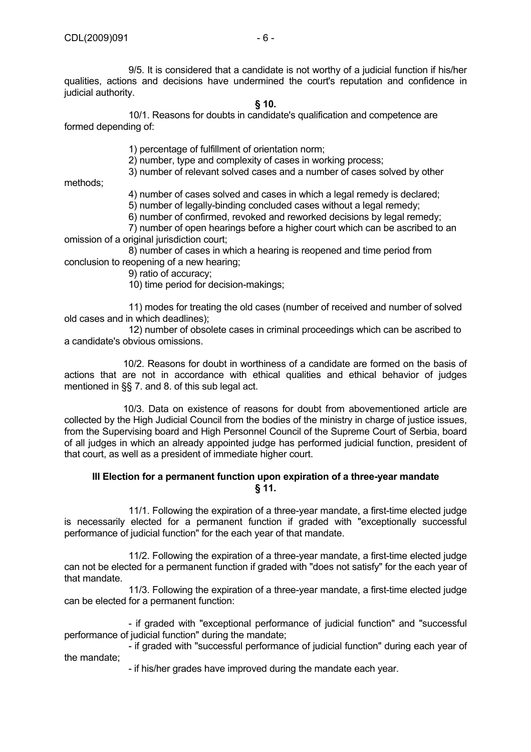9/5. It is considered that a candidate is not worthy of a judicial function if his/her qualities, actions and decisions have undermined the court's reputation and confidence in judicial authority.

## **§ 10.**

10/1. Reasons for doubts in candidate's qualification and competence are formed depending of:

1) percentage of fulfillment of orientation norm;

2) number, type and complexity of cases in working process;

3) number of relevant solved cases and a number of cases solved by other

methods;

4) number of cases solved and cases in which a legal remedy is declared;

5) number of legally-binding concluded cases without a legal remedy;

6) number of confirmed, revoked and reworked decisions by legal remedy;

 7) number of open hearings before a higher court which can be ascribed to an omission of a original jurisdiction court;

 8) number of cases in which a hearing is reopened and time period from conclusion to reopening of a new hearing;

9) ratio of accuracy;

10) time period for decision-makings;

 11) modes for treating the old cases (number of received and number of solved old cases and in which deadlines);

 12) number of obsolete cases in criminal proceedings which can be ascribed to a candidate's obvious omissions.

 10/2. Reasons for doubt in worthiness of a candidate are formed on the basis of actions that are not in accordance with ethical qualities and ethical behavior of judges mentioned in §§ 7. and 8. of this sub legal act.

 10/3. Data on existence of reasons for doubt from abovementioned article are collected by the High Judicial Council from the bodies of the ministry in charge of justice issues, from the Supervising board and High Personnel Council of the Supreme Court of Serbia, board of all judges in which an already appointed judge has performed judicial function, president of that court, as well as a president of immediate higher court.

## **III Election for a permanent function upon expiration of a three-year mandate § 11.**

 11/1. Following the expiration of a three-year mandate, a first-time elected judge is necessarily elected for a permanent function if graded with "exceptionally successful performance of judicial function" for the each year of that mandate.

 11/2. Following the expiration of a three-year mandate, a first-time elected judge can not be elected for a permanent function if graded with "does not satisfy" for the each year of that mandate.

 11/3. Following the expiration of a three-year mandate, a first-time elected judge can be elected for a permanent function:

 - if graded with "exceptional performance of judicial function" and "successful performance of judicial function" during the mandate;

 - if graded with "successful performance of judicial function" during each year of the mandate;

- if his/her grades have improved during the mandate each year.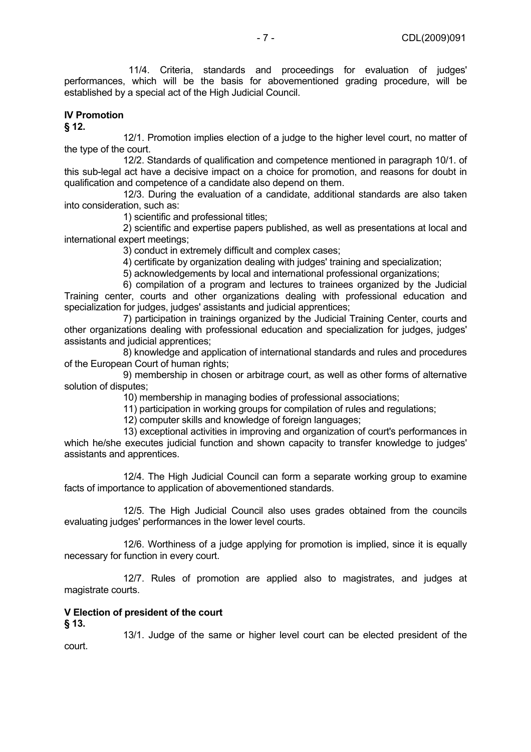11/4. Criteria, standards and proceedings for evaluation of judges' performances, which will be the basis for abovementioned grading procedure, will be established by a special act of the High Judicial Council.

#### **IV Promotion § 12.**

12/1. Promotion implies election of a judge to the higher level court, no matter of the type of the court.

 12/2. Standards of qualification and competence mentioned in paragraph 10/1. of this sub-legal act have a decisive impact on a choice for promotion, and reasons for doubt in qualification and competence of a candidate also depend on them.

 12/3. During the evaluation of a candidate, additional standards are also taken into consideration, such as:

1) scientific and professional titles;

 2) scientific and expertise papers published, as well as presentations at local and international expert meetings;

3) conduct in extremely difficult and complex cases;

4) certificate by organization dealing with judges' training and specialization;

5) acknowledgements by local and international professional organizations;

 6) compilation of a program and lectures to trainees organized by the Judicial Training center, courts and other organizations dealing with professional education and specialization for judges, judges' assistants and judicial apprentices;

 7) participation in trainings organized by the Judicial Training Center, courts and other organizations dealing with professional education and specialization for judges, judges' assistants and judicial apprentices;

 8) knowledge and application of international standards and rules and procedures of the European Court of human rights;

 9) membership in chosen or arbitrage court, as well as other forms of alternative solution of disputes;

10) membership in managing bodies of professional associations;

11) participation in working groups for compilation of rules and regulations;

12) computer skills and knowledge of foreign languages;

 13) exceptional activities in improving and organization of court's performances in which he/she executes judicial function and shown capacity to transfer knowledge to judges' assistants and apprentices.

 12/4. The High Judicial Council can form a separate working group to examine facts of importance to application of abovementioned standards.

 12/5. The High Judicial Council also uses grades obtained from the councils evaluating judges' performances in the lower level courts.

 12/6. Worthiness of a judge applying for promotion is implied, since it is equally necessary for function in every court.

 12/7. Rules of promotion are applied also to magistrates, and judges at magistrate courts.

## **V Election of president of the court**

**§ 13.** 

13/1. Judge of the same or higher level court can be elected president of the court.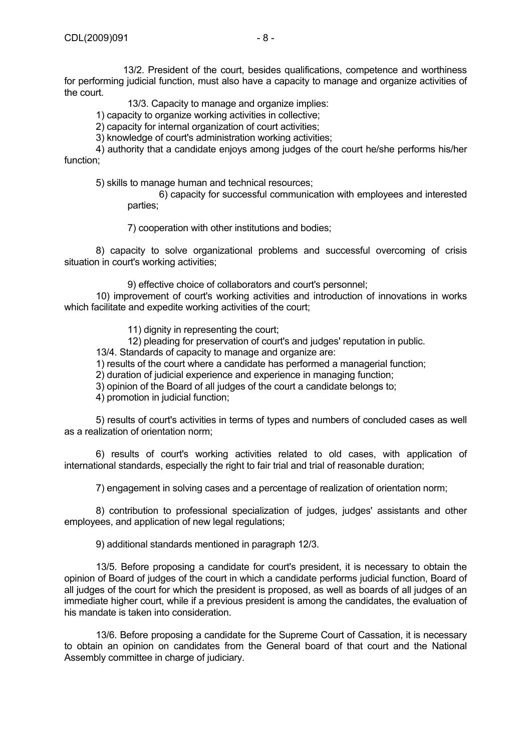13/2. President of the court, besides qualifications, competence and worthiness for performing judicial function, must also have a capacity to manage and organize activities of the court.

13/3. Capacity to manage and organize implies:

1) capacity to organize working activities in collective;

2) capacity for internal organization of court activities;

3) knowledge of court's administration working activities;

 4) authority that a candidate enjoys among judges of the court he/she performs his/her function;

5) skills to manage human and technical resources;

 6) capacity for successful communication with employees and interested parties;

7) cooperation with other institutions and bodies;

 8) capacity to solve organizational problems and successful overcoming of crisis situation in court's working activities;

9) effective choice of collaborators and court's personnel;

 10) improvement of court's working activities and introduction of innovations in works which facilitate and expedite working activities of the court;

11) dignity in representing the court;

12) pleading for preservation of court's and judges' reputation in public.

13/4. Standards of capacity to manage and organize are:

1) results of the court where a candidate has performed a managerial function;

2) duration of judicial experience and experience in managing function;

3) opinion of the Board of all judges of the court a candidate belongs to;

4) promotion in judicial function;

 5) results of court's activities in terms of types and numbers of concluded cases as well as a realization of orientation norm;

 6) results of court's working activities related to old cases, with application of international standards, especially the right to fair trial and trial of reasonable duration;

7) engagement in solving cases and a percentage of realization of orientation norm;

 8) contribution to professional specialization of judges, judges' assistants and other employees, and application of new legal regulations;

9) additional standards mentioned in paragraph 12/3.

 13/5. Before proposing a candidate for court's president, it is necessary to obtain the opinion of Board of judges of the court in which a candidate performs judicial function, Board of all judges of the court for which the president is proposed, as well as boards of all judges of аn immediate higher court, while if a previous president is among the candidates, the evaluation of his mandate is taken into consideration.

 13/6. Before proposing a candidate for the Supreme Court of Cassation, it is necessary to obtain an opinion on candidates from the General board of that court and the National Assembly committee in charge of judiciary.